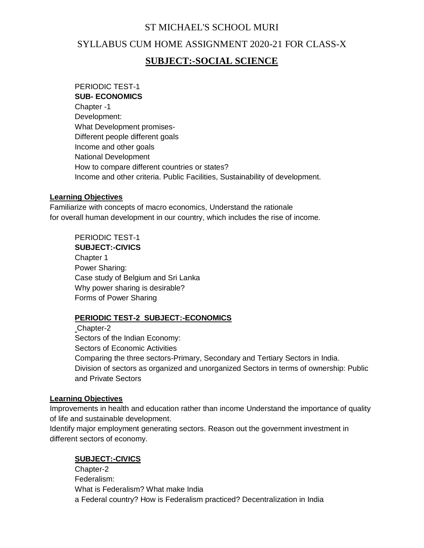# ST MICHAEL'S SCHOOL MURI

# SYLLABUS CUM HOME ASSIGNMENT 2020-21 FOR CLASS-X

# **SUBJECT:-SOCIAL SCIENCE**

#### PERIODIC TEST-1 **SUB- ECONOMICS**

Chapter -1 Development: What Development promises-Different people different goals Income and other goals National Development How to compare different countries or states? Income and other criteria. Public Facilities, Sustainability of development.

### **Learning Objectives**

Familiarize with concepts of macro economics, Understand the rationale for overall human development in our country, which includes the rise of income.

# PERIODIC TEST-1

**SUBJECT:-CIVICS** Chapter 1 Power Sharing: Case study of Belgium and Sri Lanka Why power sharing is desirable? Forms of Power Sharing

## **PERIODIC TEST-2 SUBJECT:-ECONOMICS**

Chapter-2 Sectors of the Indian Economy: Sectors of Economic Activities Comparing the three sectors-Primary, Secondary and Tertiary Sectors in India. Division of sectors as organized and unorganized Sectors in terms of ownership: Public and Private Sectors

## **Learning Objectives**

Improvements in health and education rather than income Understand the importance of quality of life and sustainable development.

Identify major employment generating sectors. Reason out the government investment in different sectors of economy.

# **SUBJECT:-CIVICS**

Chapter-2 Federalism: What is Federalism? What make India a Federal country? How is Federalism practiced? Decentralization in India